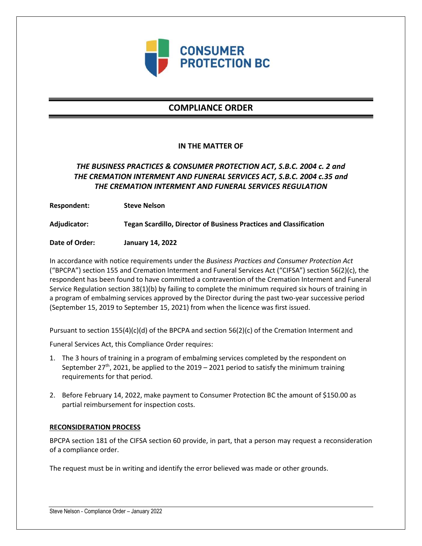

# **COMPLIANCE ORDER**

### **IN THE MATTER OF**

## *THE BUSINESS PRACTICES & CONSUMER PROTECTION ACT, S.B.C. 2004 c. 2 and THE CREMATION INTERMENT AND FUNERAL SERVICES ACT, S.B.C. 2004 c.35 and THE CREMATION INTERMENT AND FUNERAL SERVICES REGULATION*

**Respondent: Steve Nelson**

**Adjudicator: Tegan Scardillo, Director of Business Practices and Classification**

**Date of Order: January 14, 2022**

In accordance with notice requirements under the *Business Practices and Consumer Protection Act* ("BPCPA") section 155 and Cremation Interment and Funeral Services Act ("CIFSA") section 56(2)(c), the respondent has been found to have committed a contravention of the Cremation Interment and Funeral Service Regulation section 38(1)(b) by failing to complete the minimum required six hours of training in a program of embalming services approved by the Director during the past two-year successive period (September 15, 2019 to September 15, 2021) from when the licence was first issued.

Pursuant to section 155(4)(c)(d) of the BPCPA and section 56(2)(c) of the Cremation Interment and

Funeral Services Act, this Compliance Order requires:

- 1. The 3 hours of training in a program of embalming services completed by the respondent on September 27<sup>th</sup>, 2021, be applied to the 2019 – 2021 period to satisfy the minimum training requirements for that period.
- 2. Before February 14, 2022, make payment to Consumer Protection BC the amount of \$150.00 as partial reimbursement for inspection costs.

### **RECONSIDERATION PROCESS**

BPCPA section 181 of the CIFSA section 60 provide, in part, that a person may request a reconsideration of a compliance order.

The request must be in writing and identify the error believed was made or other grounds.